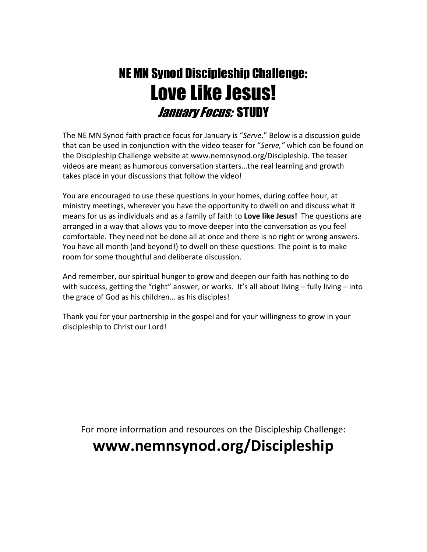# NE MN Synod Discipleship Challenge: Love Like Jesus! January Focus: STUDY

The NE MN Synod faith practice focus for January is "Serve." Below is a discussion guide that can be used in conjunction with the video teaser for "Serve," which can be found on the Discipleship Challenge website at www.nemnsynod.org/Discipleship. The teaser videos are meant as humorous conversation starters…the real learning and growth takes place in your discussions that follow the video!

You are encouraged to use these questions in your homes, during coffee hour, at ministry meetings, wherever you have the opportunity to dwell on and discuss what it means for us as individuals and as a family of faith to Love like Jesus! The questions are arranged in a way that allows you to move deeper into the conversation as you feel comfortable. They need not be done all at once and there is no right or wrong answers. You have all month (and beyond!) to dwell on these questions. The point is to make room for some thoughtful and deliberate discussion.

And remember, our spiritual hunger to grow and deepen our faith has nothing to do with success, getting the "right" answer, or works. It's all about living - fully living - into the grace of God as his children… as his disciples!

Thank you for your partnership in the gospel and for your willingness to grow in your discipleship to Christ our Lord!

For more information and resources on the Discipleship Challenge:

## www.nemnsynod.org/Discipleship